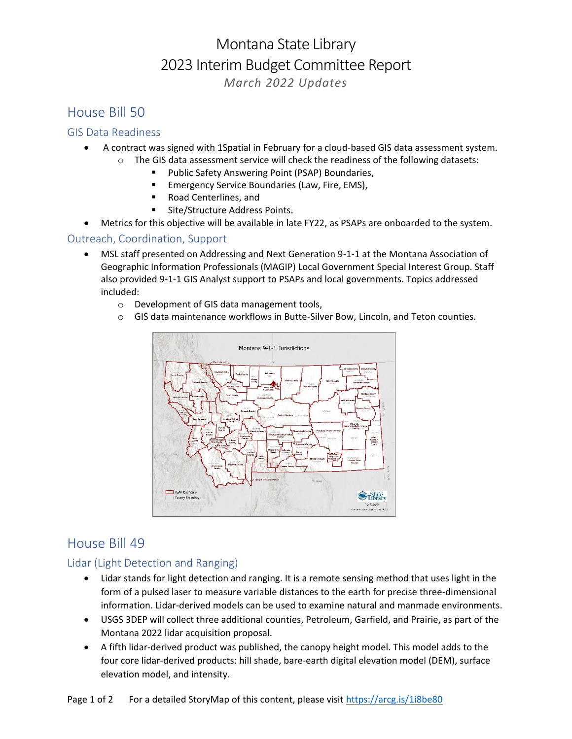# Montana State Library 2023 Interim Budget Committee Report *March 2022 Updates*

## House Bill 50

#### GIS Data Readiness

- A contract was signed with 1Spatial in February for a cloud-based GIS data assessment system.
	- $\circ$  The GIS data assessment service will check the readiness of the following datasets:
		- Public Safety Answering Point (PSAP) Boundaries,
		- Emergency Service Boundaries (Law, Fire, EMS),
		- Road Centerlines, and
		- Site/Structure Address Points.
- Metrics for this objective will be available in late FY22, as PSAPs are onboarded to the system.

#### Outreach, Coordination, Support

- MSL staff presented on Addressing and Next Generation 9-1-1 at the Montana Association of Geographic Information Professionals (MAGIP) Local Government Special Interest Group. Staff also provided 9-1-1 GIS Analyst support to PSAPs and local governments. Topics addressed included:
	- o Development of GIS data management tools,
	- o GIS data maintenance workflows in Butte-Silver Bow, Lincoln, and Teton counties.



## House Bill 49

#### Lidar (Light Detection and Ranging)

- Lidar stands for light detection and ranging. It is a remote sensing method that uses light in the form of a pulsed laser to measure variable distances to the earth for precise three-dimensional information. Lidar-derived models can be used to examine natural and manmade environments.
- USGS 3DEP will collect three additional counties, Petroleum, Garfield, and Prairie, as part of the Montana 2022 lidar acquisition proposal.
- A fifth lidar-derived product was published, the canopy height model. This model adds to the four core lidar-derived products: hill shade, bare-earth digital elevation model (DEM), surface elevation model, and intensity.